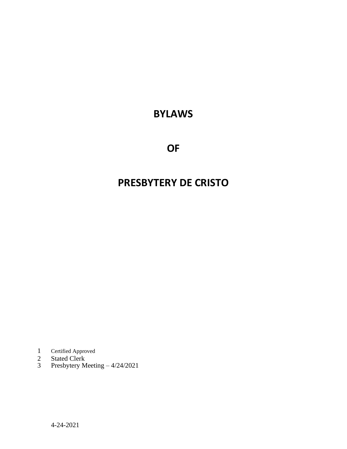## **BYLAWS**

**OF**

# **PRESBYTERY DE CRISTO**

- 1 Certified Approved<br>2 Stated Clerk<br>3 Presbytery Meeti
- Stated Clerk
- Presbytery Meeting 4/24/2021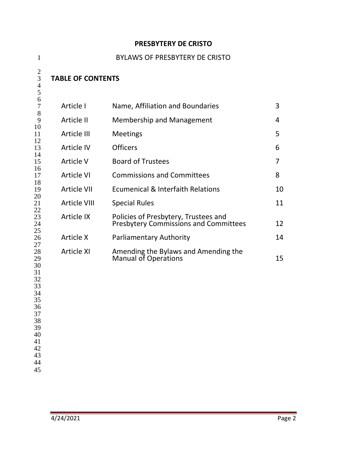### **PRESBYTERY DE CRISTO**

| $\mathbf{1}$                                                                                 |                          | <b>BYLAWS OF PRESBYTERY DE CRISTO</b>                                                |    |
|----------------------------------------------------------------------------------------------|--------------------------|--------------------------------------------------------------------------------------|----|
| $\overline{2}$<br>3<br>4<br>5                                                                | <b>TABLE OF CONTENTS</b> |                                                                                      |    |
| 6<br>$\tau$                                                                                  | Article I                | Name, Affiliation and Boundaries                                                     | 3  |
| 8<br>9                                                                                       | Article II               | <b>Membership and Management</b>                                                     | 4  |
| 10<br>11                                                                                     | Article III              | <b>Meetings</b>                                                                      | 5  |
| 12<br>13                                                                                     | <b>Article IV</b>        | <b>Officers</b>                                                                      | 6  |
| 14<br>15                                                                                     | Article V                | <b>Board of Trustees</b>                                                             | 7  |
| 16<br>17                                                                                     | <b>Article VI</b>        | <b>Commissions and Committees</b>                                                    | 8  |
| 18<br>19                                                                                     | <b>Article VII</b>       | <b>Ecumenical &amp; Interfaith Relations</b>                                         | 10 |
| 20<br>21                                                                                     | <b>Article VIII</b>      | <b>Special Rules</b>                                                                 | 11 |
| 22<br>23<br>24                                                                               | <b>Article IX</b>        | Policies of Presbytery, Trustees and<br><b>Presbytery Commissions and Committees</b> | 12 |
| 25<br>26                                                                                     | Article X                | <b>Parliamentary Authority</b>                                                       | 14 |
| 27<br>28<br>29<br>30<br>31<br>32<br>33<br>34<br>35<br>36<br>37<br>38<br>39<br>40<br>41<br>42 | <b>Article XI</b>        | Amending the Bylaws and Amending the<br><b>Manual of Operations</b>                  | 15 |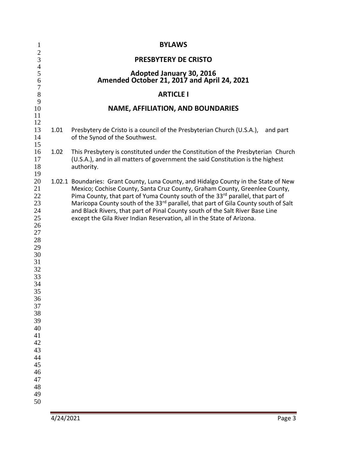| $\mathbf{1}$                                                                                                                                                                           |      | <b>BYLAWS</b>                                                                                                                                                                                                                                                                                                                                                                                                                                                                                                     |
|----------------------------------------------------------------------------------------------------------------------------------------------------------------------------------------|------|-------------------------------------------------------------------------------------------------------------------------------------------------------------------------------------------------------------------------------------------------------------------------------------------------------------------------------------------------------------------------------------------------------------------------------------------------------------------------------------------------------------------|
| $\begin{array}{c} 2 \\ 3 \\ 4 \\ 5 \end{array}$                                                                                                                                        |      | <b>PRESBYTERY DE CRISTO</b>                                                                                                                                                                                                                                                                                                                                                                                                                                                                                       |
| 6                                                                                                                                                                                      |      | Adopted January 30, 2016<br>Amended October 21, 2017 and April 24, 2021                                                                                                                                                                                                                                                                                                                                                                                                                                           |
| $\overline{7}$<br>8                                                                                                                                                                    |      | <b>ARTICLE I</b>                                                                                                                                                                                                                                                                                                                                                                                                                                                                                                  |
| 9<br>10                                                                                                                                                                                |      | <b>NAME, AFFILIATION, AND BOUNDARIES</b>                                                                                                                                                                                                                                                                                                                                                                                                                                                                          |
| 11<br>12                                                                                                                                                                               |      |                                                                                                                                                                                                                                                                                                                                                                                                                                                                                                                   |
| 13<br>14<br>15                                                                                                                                                                         | 1.01 | Presbytery de Cristo is a council of the Presbyterian Church (U.S.A.),<br>and part<br>of the Synod of the Southwest.                                                                                                                                                                                                                                                                                                                                                                                              |
| 16<br>17<br>18<br>19                                                                                                                                                                   | 1.02 | This Presbytery is constituted under the Constitution of the Presbyterian Church<br>(U.S.A.), and in all matters of government the said Constitution is the highest<br>authority.                                                                                                                                                                                                                                                                                                                                 |
| 20<br>21<br>22<br>23<br>24<br>25<br>26<br>27<br>28<br>29<br>30<br>31<br>32<br>33<br>34<br>35<br>36<br>37<br>38<br>39<br>40<br>41<br>42<br>43<br>44<br>45<br>46<br>47<br>48<br>49<br>50 |      | 1.02.1 Boundaries: Grant County, Luna County, and Hidalgo County in the State of New<br>Mexico; Cochise County, Santa Cruz County, Graham County, Greenlee County,<br>Pima County, that part of Yuma County south of the 33rd parallel, that part of<br>Maricopa County south of the 33 <sup>rd</sup> parallel, that part of Gila County south of Salt<br>and Black Rivers, that part of Pinal County south of the Salt River Base Line<br>except the Gila River Indian Reservation, all in the State of Arizona. |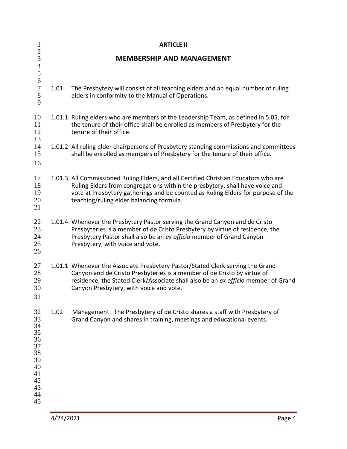| $\mathbf{1}$                                                                     |      | <b>ARTICLE II</b>                                                                                                                                                                                                                                                                                    |
|----------------------------------------------------------------------------------|------|------------------------------------------------------------------------------------------------------------------------------------------------------------------------------------------------------------------------------------------------------------------------------------------------------|
| $rac{2}{3}$<br>$\overline{\mathcal{L}}$<br>5                                     |      | <b>MEMBERSHIP AND MANAGEMENT</b>                                                                                                                                                                                                                                                                     |
| $\sqrt{6}$<br>$\boldsymbol{7}$<br>$8\,$<br>9                                     | 1.01 | The Presbytery will consist of all teaching elders and an equal number of ruling<br>elders in conformity to the Manual of Operations.                                                                                                                                                                |
| 10<br>11<br>12<br>13                                                             |      | 1.01.1 Ruling elders who are members of the Leadership Team, as defined in 5.05, for<br>the tenure of their office shall be enrolled as members of Presbytery for the<br>tenure of their office.                                                                                                     |
| 14<br>15<br>16                                                                   |      | 1.01.2 All ruling elder chairpersons of Presbytery standing commissions and committees<br>shall be enrolled as members of Presbytery for the tenure of their office.                                                                                                                                 |
| 17<br>18<br>19<br>20<br>21                                                       |      | 1.01.3 All Commissioned Ruling Elders, and all Certified Christian Educators who are<br>Ruling Elders from congregations within the presbytery, shall have voice and<br>vote at Presbytery gatherings and be counted as Ruling Elders for purpose of the<br>teaching/ruling elder balancing formula. |
| 22<br>23<br>24<br>25<br>26                                                       |      | 1.01.4 Whenever the Presbytery Pastor serving the Grand Canyon and de Cristo<br>Presbyteries is a member of de Cristo Presbytery by virtue of residence, the<br>Presbytery Pastor shall also be an ex officio member of Grand Canyon<br>Presbytery, with voice and vote.                             |
| 27<br>28<br>29<br>30<br>31                                                       |      | 1.01.1 Whenever the Associate Presbytery Pastor/Stated Clerk serving the Grand<br>Canyon and de Cristo Presbyteries is a member of de Cristo by virtue of<br>residence, the Stated Clerk/Associate shall also be an ex officio member of Grand<br>Canyon Presbytery, with voice and vote.            |
| 32<br>33<br>34<br>35<br>36<br>37<br>38<br>39<br>40<br>41<br>42<br>43<br>44<br>45 | 1.02 | Management. The Presbytery of de Cristo shares a staff with Presbytery of<br>Grand Canyon and shares in training, meetings and educational events.                                                                                                                                                   |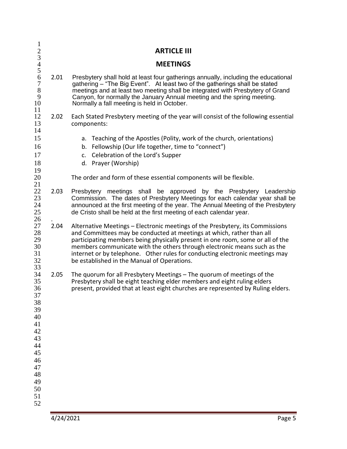| $\mathbf{1}$                                                                                                         |      |                                                                                                                                                                                                                                                                                                                                                                                                                                                     |
|----------------------------------------------------------------------------------------------------------------------|------|-----------------------------------------------------------------------------------------------------------------------------------------------------------------------------------------------------------------------------------------------------------------------------------------------------------------------------------------------------------------------------------------------------------------------------------------------------|
|                                                                                                                      |      | <b>ARTICLE III</b>                                                                                                                                                                                                                                                                                                                                                                                                                                  |
| $\frac{2}{3}$<br>4 5                                                                                                 |      | <b>MEETINGS</b>                                                                                                                                                                                                                                                                                                                                                                                                                                     |
| $\frac{6}{7}$<br>$8\,$<br>9<br>10<br>11                                                                              | 2.01 | Presbytery shall hold at least four gatherings annually, including the educational<br>gathering - "The Big Event". At least two of the gatherings shall be stated<br>meetings and at least two meeting shall be integrated with Presbytery of Grand<br>Canyon, for normally the January Annual meeting and the spring meeting.<br>Normally a fall meeting is held in October.                                                                       |
| 12<br>13<br>14                                                                                                       | 2.02 | Each Stated Presbytery meeting of the year will consist of the following essential<br>components:                                                                                                                                                                                                                                                                                                                                                   |
| 15<br>16<br>17<br>18<br>19                                                                                           |      | a. Teaching of the Apostles (Polity, work of the church, orientations)<br>b. Fellowship (Our life together, time to "connect")<br>c. Celebration of the Lord's Supper<br>d. Prayer (Worship)                                                                                                                                                                                                                                                        |
| 20<br>21                                                                                                             |      | The order and form of these essential components will be flexible.                                                                                                                                                                                                                                                                                                                                                                                  |
| 22<br>23<br>24<br>25<br>26<br>27<br>28<br>29<br>30<br>31<br>32                                                       | 2.03 | Presbytery meetings shall be approved by the Presbytery Leadership<br>Commission. The dates of Presbytery Meetings for each calendar year shall be<br>announced at the first meeting of the year. The Annual Meeting of the Presbytery<br>de Cristo shall be held at the first meeting of each calendar year.                                                                                                                                       |
|                                                                                                                      | 2.04 | Alternative Meetings - Electronic meetings of the Presbytery, its Commissions<br>and Committees may be conducted at meetings at which, rather than all<br>participating members being physically present in one room, some or all of the<br>members communicate with the others through electronic means such as the<br>internet or by telephone. Other rules for conducting electronic meetings may<br>be established in the Manual of Operations. |
| 33<br>34<br>35<br>36<br>37<br>38<br>39<br>40<br>41<br>42<br>43<br>44<br>45<br>46<br>47<br>48<br>49<br>50<br>51<br>52 | 2.05 | The quorum for all Presbytery Meetings - The quorum of meetings of the<br>Presbytery shall be eight teaching elder members and eight ruling elders<br>present, provided that at least eight churches are represented by Ruling elders.                                                                                                                                                                                                              |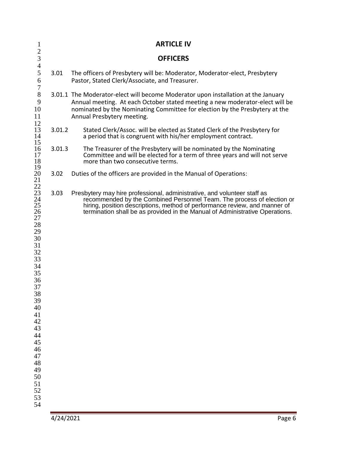| $\mathbf{1}$                                                                                                                                                                                                   |           | <b>ARTICLE IV</b>                                                                                                                                                                                                                                                                                                |
|----------------------------------------------------------------------------------------------------------------------------------------------------------------------------------------------------------------|-----------|------------------------------------------------------------------------------------------------------------------------------------------------------------------------------------------------------------------------------------------------------------------------------------------------------------------|
| $\overline{2}$<br>$\mathfrak{Z}$                                                                                                                                                                               |           | <b>OFFICERS</b>                                                                                                                                                                                                                                                                                                  |
| $\overline{4}$<br>5<br>6<br>$\boldsymbol{7}$                                                                                                                                                                   | 3.01      | The officers of Presbytery will be: Moderator, Moderator-elect, Presbytery<br>Pastor, Stated Clerk/Associate, and Treasurer.                                                                                                                                                                                     |
| $8\,$<br>9<br>10<br>11<br>12                                                                                                                                                                                   |           | 3.01.1 The Moderator-elect will become Moderator upon installation at the January<br>Annual meeting. At each October stated meeting a new moderator-elect will be<br>nominated by the Nominating Committee for election by the Presbytery at the<br>Annual Presbytery meeting.                                   |
| 13<br>14                                                                                                                                                                                                       | 3.01.2    | Stated Clerk/Assoc. will be elected as Stated Clerk of the Presbytery for<br>a period that is congruent with his/her employment contract.                                                                                                                                                                        |
| 16<br>17<br>18                                                                                                                                                                                                 | 3.01.3    | The Treasurer of the Presbytery will be nominated by the Nominating<br>Committee and will be elected for a term of three years and will not serve<br>more than two consecutive terms.                                                                                                                            |
| 20<br>21                                                                                                                                                                                                       | 3.02      | Duties of the officers are provided in the Manual of Operations:                                                                                                                                                                                                                                                 |
| 15<br>19<br>22<br>23<br>24<br>25<br>26<br>27<br>28<br>29<br>30<br>31<br>32<br>33<br>34<br>35<br>36<br>37<br>38<br>39<br>40<br>41<br>42<br>43<br>44<br>45<br>46<br>47<br>48<br>49<br>50<br>51<br>52<br>53<br>54 | 3.03      | Presbytery may hire professional, administrative, and volunteer staff as<br>recommended by the Combined Personnel Team. The process of election or<br>hiring, position descriptions, method of performance review, and manner of<br>termination shall be as provided in the Manual of Administrative Operations. |
|                                                                                                                                                                                                                | 4/24/2021 | Page 6                                                                                                                                                                                                                                                                                                           |
|                                                                                                                                                                                                                |           |                                                                                                                                                                                                                                                                                                                  |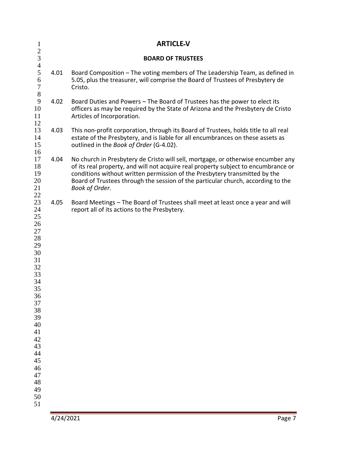| $\mathbf{1}$                                                                                                                                                               |           | <b>ARTICLE-V</b>                                                                                                                                                                                                                                                                                                                                           |
|----------------------------------------------------------------------------------------------------------------------------------------------------------------------------|-----------|------------------------------------------------------------------------------------------------------------------------------------------------------------------------------------------------------------------------------------------------------------------------------------------------------------------------------------------------------------|
| $\frac{2}{3}$<br>$\overline{4}$                                                                                                                                            |           | <b>BOARD OF TRUSTEES</b>                                                                                                                                                                                                                                                                                                                                   |
| 5<br>6<br>$\sqrt{ }$<br>$\,8\,$                                                                                                                                            | 4.01      | Board Composition – The voting members of The Leadership Team, as defined in<br>5.05, plus the treasurer, will comprise the Board of Trustees of Presbytery de<br>Cristo.                                                                                                                                                                                  |
| 9<br>10<br>11<br>12                                                                                                                                                        | 4.02      | Board Duties and Powers - The Board of Trustees has the power to elect its<br>officers as may be required by the State of Arizona and the Presbytery de Cristo<br>Articles of Incorporation.                                                                                                                                                               |
| 13<br>14<br>15<br>16                                                                                                                                                       | 4.03      | This non-profit corporation, through its Board of Trustees, holds title to all real<br>estate of the Presbytery, and is liable for all encumbrances on these assets as<br>outlined in the Book of Order (G-4.02).                                                                                                                                          |
| 17<br>18<br>19<br>20<br>21                                                                                                                                                 | 4.04      | No church in Presbytery de Cristo will sell, mortgage, or otherwise encumber any<br>of its real property, and will not acquire real property subject to encumbrance or<br>conditions without written permission of the Presbytery transmitted by the<br>Board of Trustees through the session of the particular church, according to the<br>Book of Order. |
| 22<br>23<br>24<br>25<br>26<br>27<br>28<br>29<br>30<br>31<br>32<br>33<br>34<br>35<br>36<br>37<br>38<br>39<br>40<br>41<br>42<br>43<br>44<br>45<br>46<br>47<br>48<br>49<br>50 | 4.05      | Board Meetings - The Board of Trustees shall meet at least once a year and will<br>report all of its actions to the Presbytery.                                                                                                                                                                                                                            |
|                                                                                                                                                                            | 4/24/2021 | Page 7                                                                                                                                                                                                                                                                                                                                                     |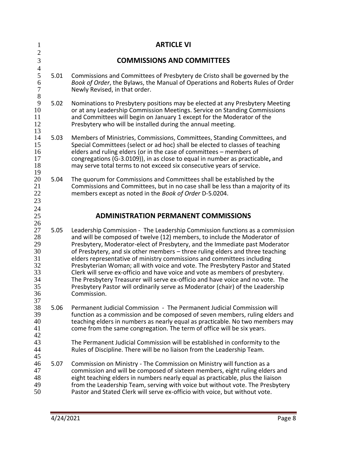| $\mathbf{1}$                                                   |      | <b>ARTICLE VI</b>                                                                                                                                                                                                                                                                                                                                                                                                                                                                                                                                                                                                                                                                                                                                      |
|----------------------------------------------------------------|------|--------------------------------------------------------------------------------------------------------------------------------------------------------------------------------------------------------------------------------------------------------------------------------------------------------------------------------------------------------------------------------------------------------------------------------------------------------------------------------------------------------------------------------------------------------------------------------------------------------------------------------------------------------------------------------------------------------------------------------------------------------|
| $\overline{2}$<br>$\mathfrak{Z}$                               |      | <b>COMMISSIONS AND COMMITTEES</b>                                                                                                                                                                                                                                                                                                                                                                                                                                                                                                                                                                                                                                                                                                                      |
| $\overline{4}$<br>5<br>6<br>$\overline{7}$<br>8                | 5.01 | Commissions and Committees of Presbytery de Cristo shall be governed by the<br>Book of Order, the Bylaws, the Manual of Operations and Roberts Rules of Order<br>Newly Revised, in that order.                                                                                                                                                                                                                                                                                                                                                                                                                                                                                                                                                         |
| 9<br>10<br>11<br>12<br>13                                      | 5.02 | Nominations to Presbytery positions may be elected at any Presbytery Meeting<br>or at any Leadership Commission Meetings. Service on Standing Commissions<br>and Committees will begin on January 1 except for the Moderator of the<br>Presbytery who will be installed during the annual meeting.                                                                                                                                                                                                                                                                                                                                                                                                                                                     |
| 14<br>15<br>16<br>17<br>18<br>19                               | 5.03 | Members of Ministries, Commissions, Committees, Standing Committees, and<br>Special Committees (select or ad hoc) shall be elected to classes of teaching<br>elders and ruling elders (or in the case of committees - members of<br>congregations (G-3.0109)), in as close to equal in number as practicable, and<br>may serve total terms to not exceed six consecutive years of service.                                                                                                                                                                                                                                                                                                                                                             |
| 20<br>21<br>22<br>23<br>24                                     | 5.04 | The quorum for Commissions and Committees shall be established by the<br>Commissions and Committees, but in no case shall be less than a majority of its<br>members except as noted in the Book of Order D-5.0204.                                                                                                                                                                                                                                                                                                                                                                                                                                                                                                                                     |
| 25<br>26                                                       |      | <b>ADMINISTRATION PERMANENT COMMISSIONS</b>                                                                                                                                                                                                                                                                                                                                                                                                                                                                                                                                                                                                                                                                                                            |
| 27<br>28<br>29<br>30<br>31<br>32<br>33<br>34<br>35<br>36<br>37 | 5.05 | Leadership Commission - The Leadership Commission functions as a commission<br>and will be composed of twelve (12) members, to include the Moderator of<br>Presbytery, Moderator-elect of Presbytery, and the Immediate past Moderator<br>of Presbytery, and six other members - three ruling elders and three teaching<br>elders representative of ministry commissions and committees including<br>Presbyterian Woman; all with voice and vote. The Presbytery Pastor and Stated<br>Clerk will serve ex-officio and have voice and vote as members of presbytery.<br>The Presbytery Treasurer will serve ex-officio and have voice and no vote. The<br>Presbytery Pastor will ordinarily serve as Moderator (chair) of the Leadership<br>Commission. |
| 38<br>39<br>40<br>41<br>42<br>43                               | 5.06 | Permanent Judicial Commission - The Permanent Judicial Commission will<br>function as a commission and be composed of seven members, ruling elders and<br>teaching elders in numbers as nearly equal as practicable. No two members may<br>come from the same congregation. The term of office will be six years.<br>The Permanent Judicial Commission will be established in conformity to the                                                                                                                                                                                                                                                                                                                                                        |
| 44<br>45<br>46<br>47<br>48<br>49<br>50                         | 5.07 | Rules of Discipline. There will be no liaison from the Leadership Team.<br>Commission on Ministry - The Commission on Ministry will function as a<br>commission and will be composed of sixteen members, eight ruling elders and<br>eight teaching elders in numbers nearly equal as practicable, plus the liaison<br>from the Leadership Team, serving with voice but without vote. The Presbytery<br>Pastor and Stated Clerk will serve ex-officio with voice, but without vote.                                                                                                                                                                                                                                                                     |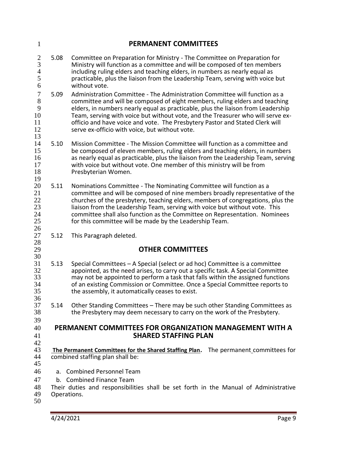| $\mathbf{1}$                                       |                | <b>PERMANENT COMMITTEES</b>                                                                                                                                                                                                                                                                                                                                                                                                                                        |
|----------------------------------------------------|----------------|--------------------------------------------------------------------------------------------------------------------------------------------------------------------------------------------------------------------------------------------------------------------------------------------------------------------------------------------------------------------------------------------------------------------------------------------------------------------|
| $\frac{2}{3}$<br>$\frac{4}{5}$<br>6                | 5.08           | Committee on Preparation for Ministry - The Committee on Preparation for<br>Ministry will function as a committee and will be composed of ten members<br>including ruling elders and teaching elders, in numbers as nearly equal as<br>practicable, plus the liaison from the Leadership Team, serving with voice but<br>without vote.                                                                                                                             |
| $\boldsymbol{7}$<br>8<br>9<br>10<br>11<br>12<br>13 | 5.09           | Administration Committee - The Administration Committee will function as a<br>committee and will be composed of eight members, ruling elders and teaching<br>elders, in numbers nearly equal as practicable, plus the liaison from Leadership<br>Team, serving with voice but without vote, and the Treasurer who will serve ex-<br>officio and have voice and vote. The Presbytery Pastor and Stated Clerk will<br>serve ex-officio with voice, but without vote. |
| 14<br>15<br>16<br>17<br>18<br>19                   | 5.10           | Mission Committee - The Mission Committee will function as a committee and<br>be composed of eleven members, ruling elders and teaching elders, in numbers<br>as nearly equal as practicable, plus the liaison from the Leadership Team, serving<br>with voice but without vote. One member of this ministry will be from<br>Presbyterian Women.                                                                                                                   |
| 20<br>21<br>22<br>23<br>24<br>25<br>26             | 5.11           | Nominations Committee - The Nominating Committee will function as a<br>committee and will be composed of nine members broadly representative of the<br>churches of the presbytery, teaching elders, members of congregations, plus the<br>liaison from the Leadership Team, serving with voice but without vote. This<br>committee shall also function as the Committee on Representation. Nominees<br>for this committee will be made by the Leadership Team.     |
| 27                                                 | 5.12           | This Paragraph deleted.                                                                                                                                                                                                                                                                                                                                                                                                                                            |
| 28<br>29                                           |                | <b>OTHER COMMITTEES</b>                                                                                                                                                                                                                                                                                                                                                                                                                                            |
| 30<br>31<br>32<br>33<br>34<br>35<br>36             | 5.13           | Special Committees - A Special (select or ad hoc) Committee is a committee<br>appointed, as the need arises, to carry out a specific task. A Special Committee<br>may not be appointed to perform a task that falls within the assigned functions<br>of an existing Commission or Committee. Once a Special Committee reports to<br>the assembly, it automatically ceases to exist.                                                                                |
| 37<br>38<br>39                                     | 5.14           | Other Standing Committees - There may be such other Standing Committees as<br>the Presbytery may deem necessary to carry on the work of the Presbytery.                                                                                                                                                                                                                                                                                                            |
| 40<br>41<br>42                                     |                | PERMANENT COMMITTEES FOR ORGANIZATION MANAGEMENT WITH A<br><b>SHARED STAFFING PLAN</b>                                                                                                                                                                                                                                                                                                                                                                             |
| 43<br>44<br>45                                     |                | The Permanent Committees for the Shared Staffing Plan. The permanent committees for<br>combined staffing plan shall be:                                                                                                                                                                                                                                                                                                                                            |
| 46                                                 | a <sub>z</sub> | <b>Combined Personnel Team</b>                                                                                                                                                                                                                                                                                                                                                                                                                                     |
| 47                                                 |                | b. Combined Finance Team                                                                                                                                                                                                                                                                                                                                                                                                                                           |
| 48<br>49<br>50                                     | Operations.    | Their duties and responsibilities shall be set forth in the Manual of Administrative                                                                                                                                                                                                                                                                                                                                                                               |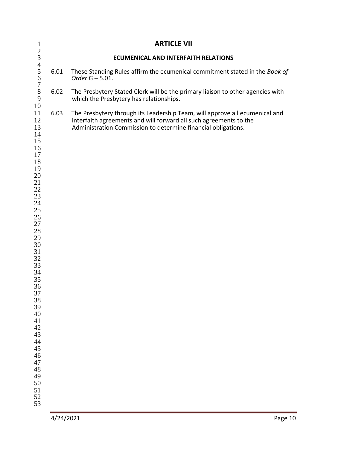| $\mathbf{1}$                                                                                                                                                                                                                                                                         | <b>ARTICLE VII</b> |                                                                                                                                                                                                                   |         |
|--------------------------------------------------------------------------------------------------------------------------------------------------------------------------------------------------------------------------------------------------------------------------------------|--------------------|-------------------------------------------------------------------------------------------------------------------------------------------------------------------------------------------------------------------|---------|
|                                                                                                                                                                                                                                                                                      |                    | <b>ECUMENICAL AND INTERFAITH RELATIONS</b>                                                                                                                                                                        |         |
| 2345678                                                                                                                                                                                                                                                                              | 6.01               | These Standing Rules affirm the ecumenical commitment stated in the Book of<br>Order $G - 5.01$ .                                                                                                                 |         |
| 9                                                                                                                                                                                                                                                                                    | 6.02               | The Presbytery Stated Clerk will be the primary liaison to other agencies with<br>which the Presbytery has relationships.                                                                                         |         |
| 10<br>11<br>12<br>13<br>14<br>15<br>16<br>17<br>18<br>19<br>20<br>21<br>$22\,$<br>23<br>24<br>$25\,$<br>26<br>$27\,$<br>28<br>29<br>$30\,$<br>31<br>32<br>33<br>34<br>35<br>36<br>37<br>38<br>39<br>40<br>41<br>42<br>43<br>44<br>45<br>46<br>47<br>48<br>49<br>50<br>51<br>52<br>53 | 6.03               | The Presbytery through its Leadership Team, will approve all ecumenical and<br>interfaith agreements and will forward all such agreements to the<br>Administration Commission to determine financial obligations. |         |
|                                                                                                                                                                                                                                                                                      | 4/24/2021          |                                                                                                                                                                                                                   | Page 10 |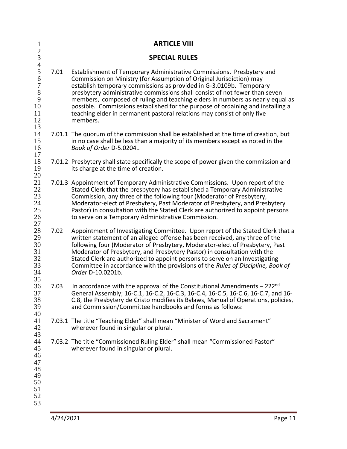| $\mathbf{1}$                                                                 |      | <b>ARTICLE VIII</b>                                                                                                                                                                                                                                                                                                                                                                                                                                                                                                                                            |
|------------------------------------------------------------------------------|------|----------------------------------------------------------------------------------------------------------------------------------------------------------------------------------------------------------------------------------------------------------------------------------------------------------------------------------------------------------------------------------------------------------------------------------------------------------------------------------------------------------------------------------------------------------------|
| $rac{2}{3}$<br>$\overline{4}$                                                |      | <b>SPECIAL RULES</b>                                                                                                                                                                                                                                                                                                                                                                                                                                                                                                                                           |
| $\mathfrak s$<br>6<br>$\boldsymbol{7}$<br>$8\,$<br>9<br>10<br>11<br>12<br>13 | 7.01 | Establishment of Temporary Administrative Commissions. Presbytery and<br>Commission on Ministry (for Assumption of Original Jurisdiction) may<br>establish temporary commissions as provided in G-3.0109b. Temporary<br>presbytery administrative commissions shall consist of not fewer than seven<br>members, composed of ruling and teaching elders in numbers as nearly equal as<br>possible. Commissions established for the purpose of ordaining and installing a<br>teaching elder in permanent pastoral relations may consist of only five<br>members. |
| 14<br>15<br>16<br>17                                                         |      | 7.01.1 The quorum of the commission shall be established at the time of creation, but<br>in no case shall be less than a majority of its members except as noted in the<br>Book of Order D-5.0204                                                                                                                                                                                                                                                                                                                                                              |
| 18<br>19<br>20                                                               |      | 7.01.2 Presbytery shall state specifically the scope of power given the commission and<br>its charge at the time of creation.                                                                                                                                                                                                                                                                                                                                                                                                                                  |
| 21<br>22<br>23<br>24<br>25<br>26<br>27                                       |      | 7.01.3 Appointment of Temporary Administrative Commissions. Upon report of the<br>Stated Clerk that the presbytery has established a Temporary Administrative<br>Commission, any three of the following four (Moderator of Presbytery,<br>Moderator-elect of Presbytery, Past Moderator of Presbytery, and Presbytery<br>Pastor) in consultation with the Stated Clerk are authorized to appoint persons<br>to serve on a Temporary Administrative Commission.                                                                                                 |
| 28<br>29<br>30<br>31<br>32<br>33<br>34<br>35                                 | 7.02 | Appointment of Investigating Committee. Upon report of the Stated Clerk that a<br>written statement of an alleged offense has been received, any three of the<br>following four (Moderator of Presbytery, Moderator-elect of Presbytery, Past<br>Moderator of Presbytery, and Presbytery Pastor) in consultation with the<br>Stated Clerk are authorized to appoint persons to serve on an Investigating<br>Committee in accordance with the provisions of the Rules of Discipline, Book of<br>Order D-10.0201b.                                               |
| 36<br>37<br>38<br>39<br>40                                                   | 7.03 | In accordance with the approval of the Constitutional Amendments - 222nd<br>General Assembly; 16-C.1, 16-C.2, 16-C.3, 16-C.4, 16-C.5, 16-C.6, 16-C.7, and 16-<br>C.8, the Presbytery de Cristo modifies its Bylaws, Manual of Operations, policies,<br>and Commission/Committee handbooks and forms as follows:                                                                                                                                                                                                                                                |
| 41<br>42<br>43                                                               |      | 7.03.1 The title "Teaching Elder" shall mean "Minister of Word and Sacrament"<br>wherever found in singular or plural.                                                                                                                                                                                                                                                                                                                                                                                                                                         |
| 44<br>45<br>46<br>47<br>48<br>49<br>50<br>51<br>52<br>53                     |      | 7.03.2 The title "Commissioned Ruling Elder" shall mean "Commissioned Pastor"<br>wherever found in singular or plural.                                                                                                                                                                                                                                                                                                                                                                                                                                         |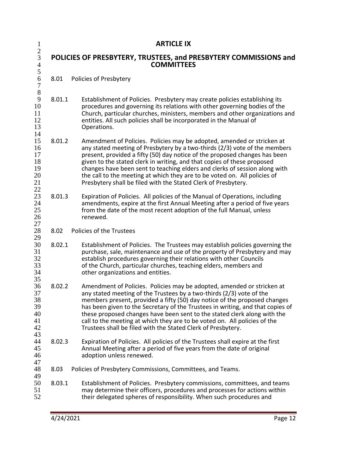| $\mathbf{1}$                                        |        | <b>ARTICLE IX</b>                                                                                                                                                                                                                                                                                                                                                                                                                                                                                                                          |  |  |
|-----------------------------------------------------|--------|--------------------------------------------------------------------------------------------------------------------------------------------------------------------------------------------------------------------------------------------------------------------------------------------------------------------------------------------------------------------------------------------------------------------------------------------------------------------------------------------------------------------------------------------|--|--|
| $\frac{2}{3}$<br>$\overline{4}$<br>5                |        | POLICIES OF PRESBYTERY, TRUSTEES, and PRESBYTERY COMMISSIONS and<br><b>COMMITTEES</b>                                                                                                                                                                                                                                                                                                                                                                                                                                                      |  |  |
| $\sqrt{6}$<br>$\overline{7}$                        | 8.01   | Policies of Presbytery                                                                                                                                                                                                                                                                                                                                                                                                                                                                                                                     |  |  |
| $8\,$<br>$\mathbf{9}$<br>10<br>11<br>12<br>13<br>14 | 8.01.1 | Establishment of Policies. Presbytery may create policies establishing its<br>procedures and governing its relations with other governing bodies of the<br>Church, particular churches, ministers, members and other organizations and<br>entities. All such policies shall be incorporated in the Manual of<br>Operations.                                                                                                                                                                                                                |  |  |
| 15<br>16<br>17<br>18<br>19<br>20<br>21<br>22        | 8.01.2 | Amendment of Policies. Policies may be adopted, amended or stricken at<br>any stated meeting of Presbytery by a two-thirds (2/3) vote of the members<br>present, provided a fifty (50) day notice of the proposed changes has been<br>given to the stated clerk in writing, and that copies of these proposed<br>changes have been sent to teaching elders and clerks of session along with<br>the call to the meeting at which they are to be voted on. All policies of<br>Presbytery shall be filed with the Stated Clerk of Presbytery. |  |  |
| 23<br>24<br>25<br>26<br>27                          | 8.01.3 | Expiration of Policies. All policies of the Manual of Operations, including<br>amendments, expire at the first Annual Meeting after a period of five years<br>from the date of the most recent adoption of the full Manual, unless<br>renewed.                                                                                                                                                                                                                                                                                             |  |  |
| 28<br>29                                            | 8.02   | Policies of the Trustees                                                                                                                                                                                                                                                                                                                                                                                                                                                                                                                   |  |  |
| 30<br>31<br>32<br>33<br>34<br>35                    | 8.02.1 | Establishment of Policies. The Trustees may establish policies governing the<br>purchase, sale, maintenance and use of the property of Presbytery and may<br>establish procedures governing their relations with other Councils<br>of the Church, particular churches, teaching elders, members and<br>other organizations and entities.                                                                                                                                                                                                   |  |  |
| 36<br>37<br>38<br>39<br>40<br>41<br>42<br>43        | 8.02.2 | Amendment of Policies. Policies may be adopted, amended or stricken at<br>any stated meeting of the Trustees by a two-thirds (2/3) vote of the<br>members present, provided a fifty (50) day notice of the proposed changes<br>has been given to the Secretary of the Trustees in writing, and that copies of<br>these proposed changes have been sent to the stated clerk along with the<br>call to the meeting at which they are to be voted on. All policies of the<br>Trustees shall be filed with the Stated Clerk of Presbytery.     |  |  |
| 44<br>45<br>46<br>47                                | 8.02.3 | Expiration of Policies. All policies of the Trustees shall expire at the first<br>Annual Meeting after a period of five years from the date of original<br>adoption unless renewed.                                                                                                                                                                                                                                                                                                                                                        |  |  |
| 48                                                  | 8.03   | Policies of Presbytery Commissions, Committees, and Teams.                                                                                                                                                                                                                                                                                                                                                                                                                                                                                 |  |  |
| 49<br>50<br>51<br>52                                | 8.03.1 | Establishment of Policies. Presbytery commissions, committees, and teams<br>may determine their officers, procedures and processes for actions within<br>their delegated spheres of responsibility. When such procedures and                                                                                                                                                                                                                                                                                                               |  |  |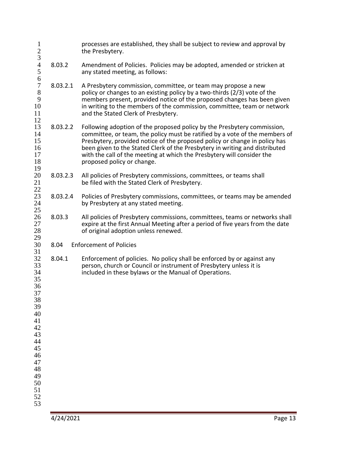| $\mathbf{1}$<br>$rac{2}{3}$                                                                                                      |          | processes are established, they shall be subject to review and approval by<br>the Presbytery.                                                                                                                                                                                                                                                                                                                               |
|----------------------------------------------------------------------------------------------------------------------------------|----------|-----------------------------------------------------------------------------------------------------------------------------------------------------------------------------------------------------------------------------------------------------------------------------------------------------------------------------------------------------------------------------------------------------------------------------|
| $\overline{4}$<br>5<br>6                                                                                                         | 8.03.2   | Amendment of Policies. Policies may be adopted, amended or stricken at<br>any stated meeting, as follows:                                                                                                                                                                                                                                                                                                                   |
| $\overline{7}$<br>8<br>9<br>10<br>11<br>12                                                                                       | 8.03.2.1 | A Presbytery commission, committee, or team may propose a new<br>policy or changes to an existing policy by a two-thirds (2/3) vote of the<br>members present, provided notice of the proposed changes has been given<br>in writing to the members of the commission, committee, team or network<br>and the Stated Clerk of Presbytery.                                                                                     |
| 13<br>14<br>15<br>16<br>17<br>18                                                                                                 | 8.03.2.2 | Following adoption of the proposed policy by the Presbytery commission,<br>committee, or team, the policy must be ratified by a vote of the members of<br>Presbytery, provided notice of the proposed policy or change in policy has<br>been given to the Stated Clerk of the Presbytery in writing and distributed<br>with the call of the meeting at which the Presbytery will consider the<br>proposed policy or change. |
| 19<br>20<br>21<br>22                                                                                                             | 8.03.2.3 | All policies of Presbytery commissions, committees, or teams shall<br>be filed with the Stated Clerk of Presbytery.                                                                                                                                                                                                                                                                                                         |
| 23<br>24<br>25                                                                                                                   | 8.03.2.4 | Policies of Presbytery commissions, committees, or teams may be amended<br>by Presbytery at any stated meeting.                                                                                                                                                                                                                                                                                                             |
| 26<br>27<br>28<br>29                                                                                                             | 8.03.3   | All policies of Presbytery commissions, committees, teams or networks shall<br>expire at the first Annual Meeting after a period of five years from the date<br>of original adoption unless renewed.                                                                                                                                                                                                                        |
| 30<br>31                                                                                                                         | 8.04     | <b>Enforcement of Policies</b>                                                                                                                                                                                                                                                                                                                                                                                              |
| 32<br>33<br>34<br>35<br>36<br>37<br>38<br>39<br>40<br>41<br>42<br>43<br>44<br>45<br>46<br>47<br>48<br>49<br>50<br>51<br>52<br>53 | 8.04.1   | Enforcement of policies. No policy shall be enforced by or against any<br>person, church or Council or instrument of Presbytery unless it is<br>included in these bylaws or the Manual of Operations.                                                                                                                                                                                                                       |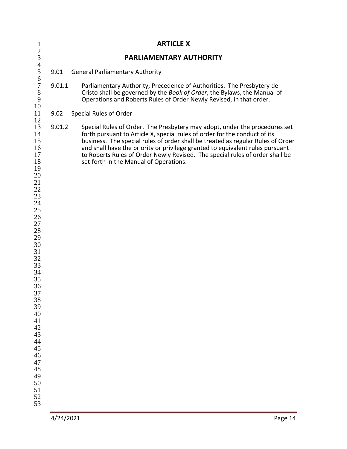| $\begin{array}{c} 2 \\ 3 \\ 4 \\ 5 \end{array}$<br>PARLIAMENTARY AUTHORITY<br><b>General Parliamentary Authority</b><br>9.01<br>6<br>$\begin{array}{c} 7 \\ 8 \\ 9 \end{array}$<br>9.01.1<br>Parliamentary Authority; Precedence of Authorities. The Presbytery de<br>Cristo shall be governed by the Book of Order, the Bylaws, the Manual of<br>Operations and Roberts Rules of Order Newly Revised, in that order.<br>10<br>11<br>Special Rules of Order<br>9.02<br>12<br>13<br>9.01.2<br>Special Rules of Order. The Presbytery may adopt, under the procedures set<br>14 | forth pursuant to Article X, special rules of order for the conduct of its |
|-------------------------------------------------------------------------------------------------------------------------------------------------------------------------------------------------------------------------------------------------------------------------------------------------------------------------------------------------------------------------------------------------------------------------------------------------------------------------------------------------------------------------------------------------------------------------------|----------------------------------------------------------------------------|
|                                                                                                                                                                                                                                                                                                                                                                                                                                                                                                                                                                               |                                                                            |
|                                                                                                                                                                                                                                                                                                                                                                                                                                                                                                                                                                               |                                                                            |
|                                                                                                                                                                                                                                                                                                                                                                                                                                                                                                                                                                               |                                                                            |
|                                                                                                                                                                                                                                                                                                                                                                                                                                                                                                                                                                               |                                                                            |
| 15<br>business. The special rules of order shall be treated as regular Rules of Order<br>16<br>and shall have the priority or privilege granted to equivalent rules pursuant<br>17<br>to Roberts Rules of Order Newly Revised. The special rules of order shall be<br>18<br>set forth in the Manual of Operations.<br>19<br>20<br>21<br>$22\,$<br>23<br>24<br>25<br>26<br>$27\,$<br>$28\,$<br>29<br>30<br>31<br>32<br>33<br>34<br>35<br>36<br>37<br>38<br>39<br>40<br>41<br>42<br>43<br>44<br>45<br>46<br>47<br>48<br>49<br>50<br>51<br>52<br>53                              |                                                                            |
| 4/24/2021                                                                                                                                                                                                                                                                                                                                                                                                                                                                                                                                                                     | Page 14                                                                    |